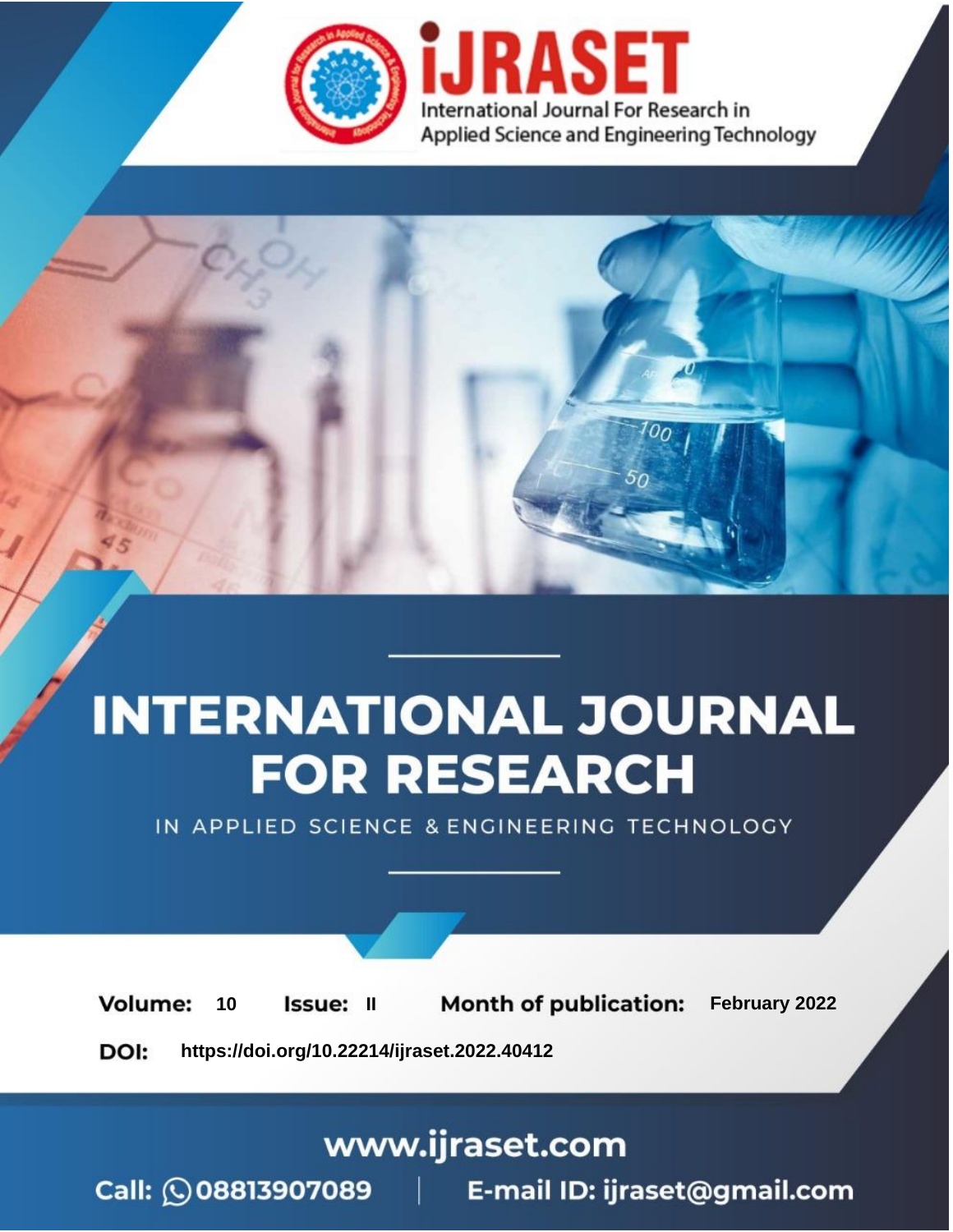

# **INTERNATIONAL JOURNAL FOR RESEARCH**

IN APPLIED SCIENCE & ENGINEERING TECHNOLOGY

**Month of publication:** February 2022 **Volume:** 10 **Issue: II** DOI: https://doi.org/10.22214/ijraset.2022.40412

www.ijraset.com

 $Call: \bigcirc$ 08813907089 E-mail ID: ijraset@gmail.com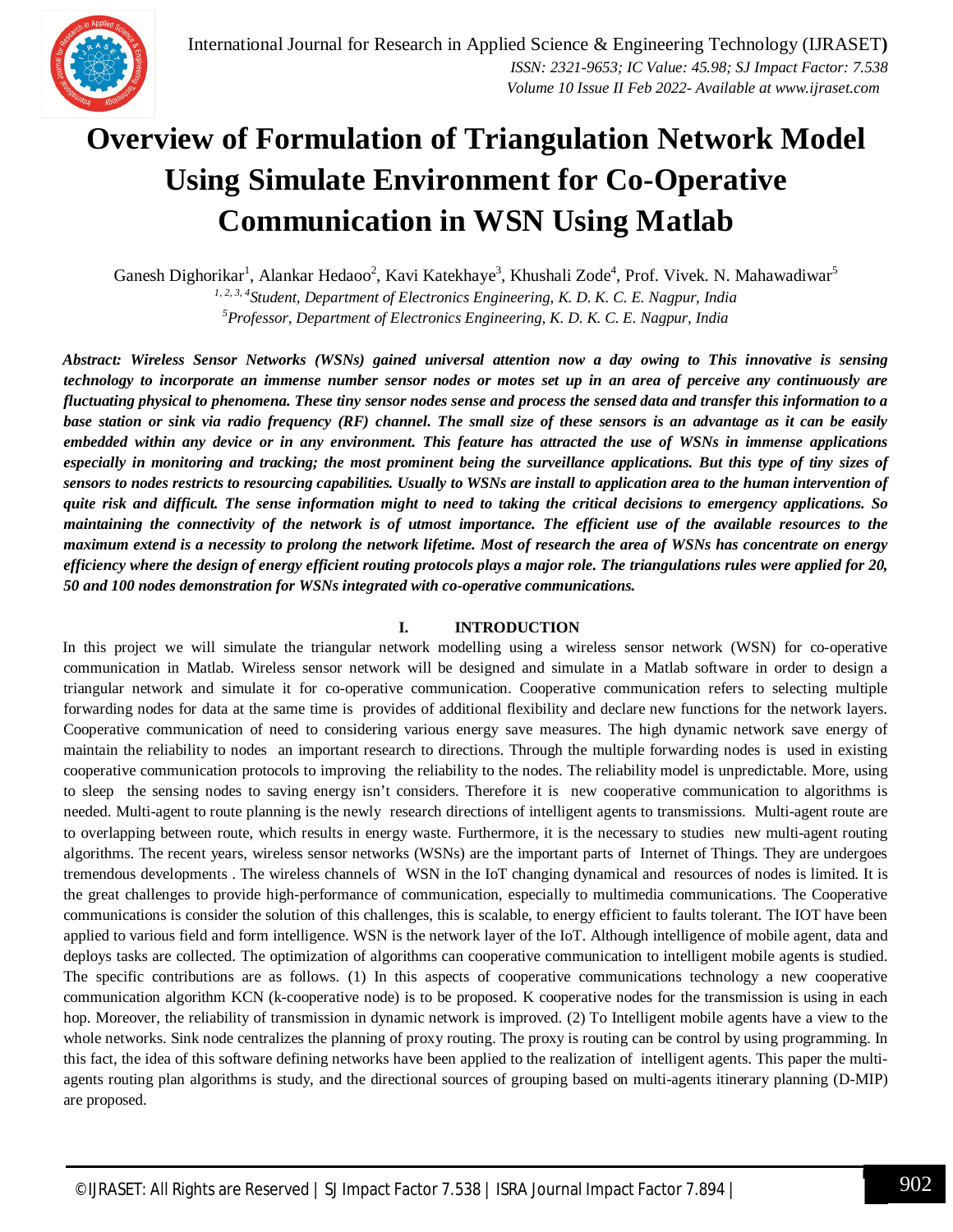### **Overview of Formulation of Triangulation Network Model Using Simulate Environment for Co-Operative Communication in WSN Using Matlab**

Ganesh Dighorikar<sup>1</sup>, Alankar Hedaoo<sup>2</sup>, Kavi Katekhaye<sup>3</sup>, Khushali Zode<sup>4</sup>, Prof. Vivek. N. Mahawadiwar<sup>5</sup>

*1, 2, 3, 4 Student, Department of Electronics Engineering, K. D. K. C. E. Nagpur, India <sup>5</sup>Professor, Department of Electronics Engineering, K. D. K. C. E. Nagpur, India*

*Abstract: Wireless Sensor Networks (WSNs) gained universal attention now a day owing to This innovative is sensing technology to incorporate an immense number sensor nodes or motes set up in an area of perceive any continuously are fluctuating physical to phenomena. These tiny sensor nodes sense and process the sensed data and transfer this information to a base station or sink via radio frequency (RF) channel. The small size of these sensors is an advantage as it can be easily embedded within any device or in any environment. This feature has attracted the use of WSNs in immense applications especially in monitoring and tracking; the most prominent being the surveillance applications. But this type of tiny sizes of sensors to nodes restricts to resourcing capabilities. Usually to WSNs are install to application area to the human intervention of quite risk and difficult. The sense information might to need to taking the critical decisions to emergency applications. So maintaining the connectivity of the network is of utmost importance. The efficient use of the available resources to the maximum extend is a necessity to prolong the network lifetime. Most of research the area of WSNs has concentrate on energy efficiency where the design of energy efficient routing protocols plays a major role. The triangulations rules were applied for 20, 50 and 100 nodes demonstration for WSNs integrated with co-operative communications.* 

#### **I. INTRODUCTION**

In this project we will simulate the triangular network modelling using a wireless sensor network (WSN) for co-operative communication in Matlab. Wireless sensor network will be designed and simulate in a Matlab software in order to design a triangular network and simulate it for co-operative communication. Cooperative communication refers to selecting multiple forwarding nodes for data at the same time is provides of additional flexibility and declare new functions for the network layers. Cooperative communication of need to considering various energy save measures. The high dynamic network save energy of maintain the reliability to nodes an important research to directions. Through the multiple forwarding nodes is used in existing cooperative communication protocols to improving the reliability to the nodes. The reliability model is unpredictable. More, using to sleep the sensing nodes to saving energy isn't considers. Therefore it is new cooperative communication to algorithms is needed. Multi-agent to route planning is the newly research directions of intelligent agents to transmissions. Multi-agent route are to overlapping between route, which results in energy waste. Furthermore, it is the necessary to studies new multi-agent routing algorithms. The recent years, wireless sensor networks (WSNs) are the important parts of Internet of Things. They are undergoes tremendous developments . The wireless channels of WSN in the IoT changing dynamical and resources of nodes is limited. It is the great challenges to provide high-performance of communication, especially to multimedia communications. The Cooperative communications is consider the solution of this challenges, this is scalable, to energy efficient to faults tolerant. The IOT have been applied to various field and form intelligence. WSN is the network layer of the IoT. Although intelligence of mobile agent, data and deploys tasks are collected. The optimization of algorithms can cooperative communication to intelligent mobile agents is studied. The specific contributions are as follows. (1) In this aspects of cooperative communications technology a new cooperative communication algorithm KCN (k-cooperative node) is to be proposed. K cooperative nodes for the transmission is using in each hop. Moreover, the reliability of transmission in dynamic network is improved. (2) To Intelligent mobile agents have a view to the whole networks. Sink node centralizes the planning of proxy routing. The proxy is routing can be control by using programming. In this fact, the idea of this software defining networks have been applied to the realization of intelligent agents. This paper the multiagents routing plan algorithms is study, and the directional sources of grouping based on multi-agents itinerary planning (D-MIP) are proposed.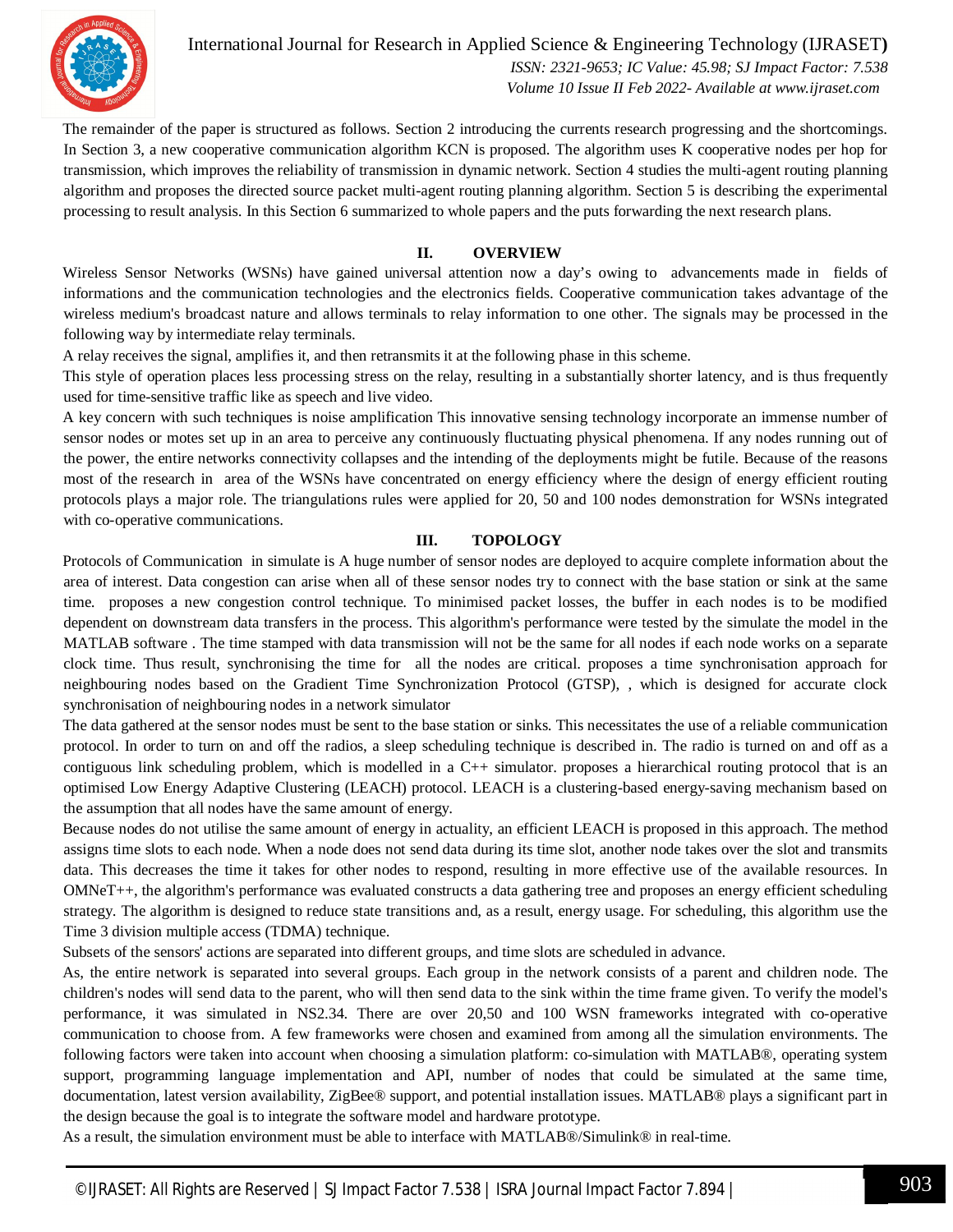

International Journal for Research in Applied Science & Engineering Technology (IJRASET**)**  *ISSN: 2321-9653; IC Value: 45.98; SJ Impact Factor: 7.538 Volume 10 Issue II Feb 2022- Available at www.ijraset.com*

The remainder of the paper is structured as follows. Section 2 introducing the currents research progressing and the shortcomings. In Section 3, a new cooperative communication algorithm KCN is proposed. The algorithm uses K cooperative nodes per hop for transmission, which improves the reliability of transmission in dynamic network. Section 4 studies the multi-agent routing planning algorithm and proposes the directed source packet multi-agent routing planning algorithm. Section 5 is describing the experimental processing to result analysis. In this Section 6 summarized to whole papers and the puts forwarding the next research plans.

#### **II. OVERVIEW**

Wireless Sensor Networks (WSNs) have gained universal attention now a day's owing to advancements made in fields of informations and the communication technologies and the electronics fields. Cooperative communication takes advantage of the wireless medium's broadcast nature and allows terminals to relay information to one other. The signals may be processed in the following way by intermediate relay terminals.

A relay receives the signal, amplifies it, and then retransmits it at the following phase in this scheme.

This style of operation places less processing stress on the relay, resulting in a substantially shorter latency, and is thus frequently used for time-sensitive traffic like as speech and live video.

A key concern with such techniques is noise amplification This innovative sensing technology incorporate an immense number of sensor nodes or motes set up in an area to perceive any continuously fluctuating physical phenomena. If any nodes running out of the power, the entire networks connectivity collapses and the intending of the deployments might be futile. Because of the reasons most of the research in area of the WSNs have concentrated on energy efficiency where the design of energy efficient routing protocols plays a major role. The triangulations rules were applied for 20, 50 and 100 nodes demonstration for WSNs integrated with co-operative communications.

#### **III. TOPOLOGY**

Protocols of Communication in simulate is A huge number of sensor nodes are deployed to acquire complete information about the area of interest. Data congestion can arise when all of these sensor nodes try to connect with the base station or sink at the same time. proposes a new congestion control technique. To minimised packet losses, the buffer in each nodes is to be modified dependent on downstream data transfers in the process. This algorithm's performance were tested by the simulate the model in the MATLAB software . The time stamped with data transmission will not be the same for all nodes if each node works on a separate clock time. Thus result, synchronising the time for all the nodes are critical. proposes a time synchronisation approach for neighbouring nodes based on the Gradient Time Synchronization Protocol (GTSP), , which is designed for accurate clock synchronisation of neighbouring nodes in a network simulator

The data gathered at the sensor nodes must be sent to the base station or sinks. This necessitates the use of a reliable communication protocol. In order to turn on and off the radios, a sleep scheduling technique is described in. The radio is turned on and off as a contiguous link scheduling problem, which is modelled in a  $C_{++}$  simulator. proposes a hierarchical routing protocol that is an optimised Low Energy Adaptive Clustering (LEACH) protocol. LEACH is a clustering-based energy-saving mechanism based on the assumption that all nodes have the same amount of energy.

Because nodes do not utilise the same amount of energy in actuality, an efficient LEACH is proposed in this approach. The method assigns time slots to each node. When a node does not send data during its time slot, another node takes over the slot and transmits data. This decreases the time it takes for other nodes to respond, resulting in more effective use of the available resources. In OMNeT++, the algorithm's performance was evaluated constructs a data gathering tree and proposes an energy efficient scheduling strategy. The algorithm is designed to reduce state transitions and, as a result, energy usage. For scheduling, this algorithm use the Time 3 division multiple access (TDMA) technique.

Subsets of the sensors' actions are separated into different groups, and time slots are scheduled in advance.

As, the entire network is separated into several groups. Each group in the network consists of a parent and children node. The children's nodes will send data to the parent, who will then send data to the sink within the time frame given. To verify the model's performance, it was simulated in NS2.34. There are over 20,50 and 100 WSN frameworks integrated with co-operative communication to choose from. A few frameworks were chosen and examined from among all the simulation environments. The following factors were taken into account when choosing a simulation platform: co-simulation with MATLAB®, operating system support, programming language implementation and API, number of nodes that could be simulated at the same time, documentation, latest version availability, ZigBee® support, and potential installation issues. MATLAB® plays a significant part in the design because the goal is to integrate the software model and hardware prototype.

As a result, the simulation environment must be able to interface with MATLAB®/Simulink® in real-time.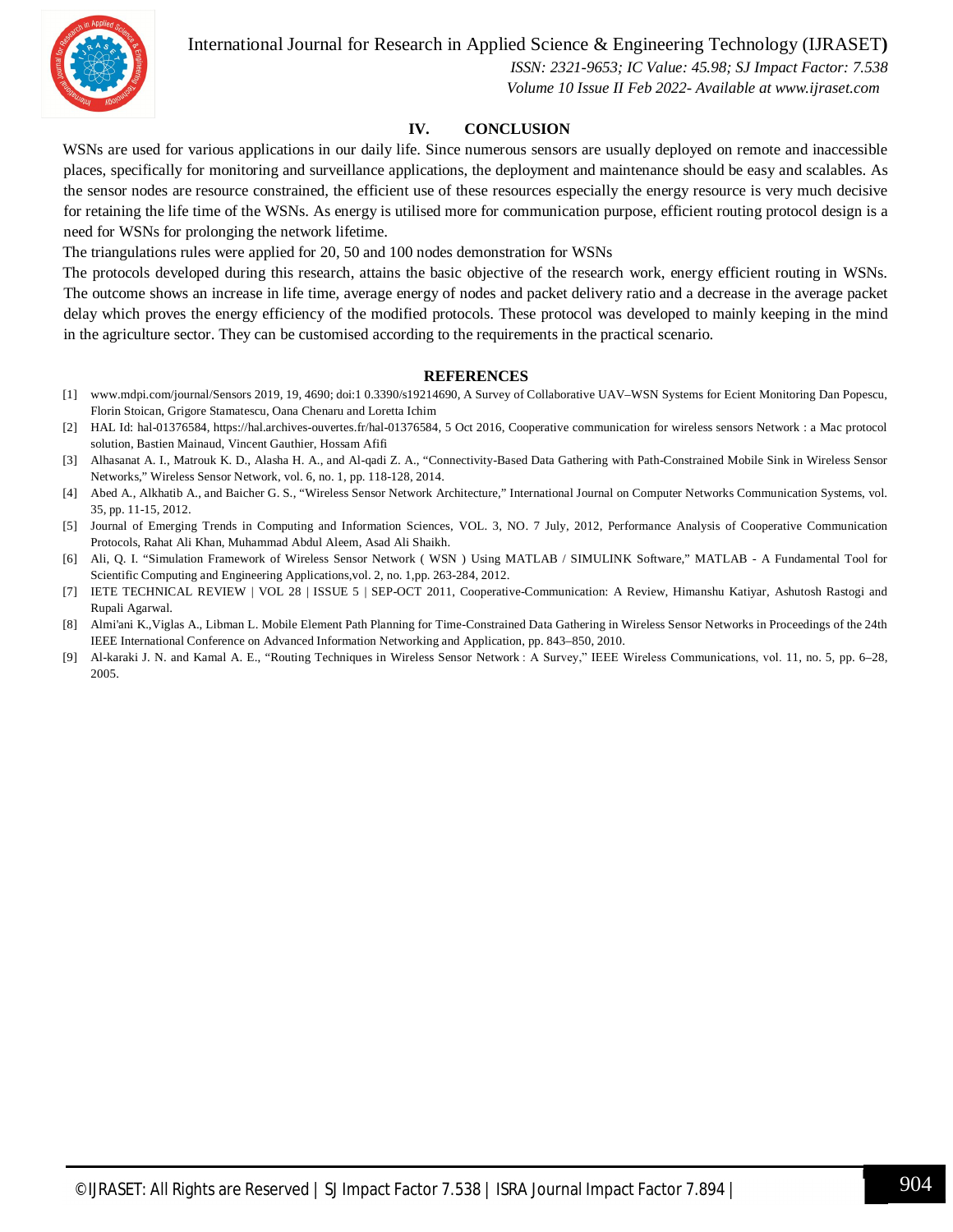International Journal for Research in Applied Science & Engineering Technology (IJRASET**)**



 *ISSN: 2321-9653; IC Value: 45.98; SJ Impact Factor: 7.538 Volume 10 Issue II Feb 2022- Available at www.ijraset.com*

#### **IV. CONCLUSION**

WSNs are used for various applications in our daily life. Since numerous sensors are usually deployed on remote and inaccessible places, specifically for monitoring and surveillance applications, the deployment and maintenance should be easy and scalables. As the sensor nodes are resource constrained, the efficient use of these resources especially the energy resource is very much decisive for retaining the life time of the WSNs. As energy is utilised more for communication purpose, efficient routing protocol design is a need for WSNs for prolonging the network lifetime.

The triangulations rules were applied for 20, 50 and 100 nodes demonstration for WSNs

The protocols developed during this research, attains the basic objective of the research work, energy efficient routing in WSNs. The outcome shows an increase in life time, average energy of nodes and packet delivery ratio and a decrease in the average packet delay which proves the energy efficiency of the modified protocols. These protocol was developed to mainly keeping in the mind in the agriculture sector. They can be customised according to the requirements in the practical scenario.

#### **REFERENCES**

- [1] www.mdpi.com/journal/Sensors 2019, 19, 4690; doi:1 0.3390/s19214690, A Survey of Collaborative UAV–WSN Systems for Ecient Monitoring Dan Popescu, Florin Stoican, Grigore Stamatescu, Oana Chenaru and Loretta Ichim
- [2] HAL Id: hal-01376584, https://hal.archives-ouvertes.fr/hal-01376584, 5 Oct 2016, Cooperative communication for wireless sensors Network : a Mac protocol solution, Bastien Mainaud, Vincent Gauthier, Hossam Afifi
- [3] Alhasanat A. I., Matrouk K. D., Alasha H. A., and Al-qadi Z. A., "Connectivity-Based Data Gathering with Path-Constrained Mobile Sink in Wireless Sensor Networks," Wireless Sensor Network, vol. 6, no. 1, pp. 118-128, 2014.
- [4] Abed A., Alkhatib A., and Baicher G. S., "Wireless Sensor Network Architecture," International Journal on Computer Networks Communication Systems, vol. 35, pp. 11-15, 2012.
- [5] Journal of Emerging Trends in Computing and Information Sciences, VOL. 3, NO. 7 July, 2012, Performance Analysis of Cooperative Communication Protocols, Rahat Ali Khan, Muhammad Abdul Aleem, Asad Ali Shaikh.
- [6] Ali, Q. I. "Simulation Framework of Wireless Sensor Network ( WSN ) Using MATLAB / SIMULINK Software," MATLAB A Fundamental Tool for Scientific Computing and Engineering Applications,vol. 2, no. 1,pp. 263-284, 2012.
- [7] IETE TECHNICAL REVIEW | VOL 28 | ISSUE 5 | SEP-OCT 2011, Cooperative-Communication: A Review, Himanshu Katiyar, Ashutosh Rastogi and Rupali Agarwal.
- [8] Almi'ani K.,Viglas A., Libman L. Mobile Element Path Planning for Time-Constrained Data Gathering in Wireless Sensor Networks in Proceedings of the 24th IEEE International Conference on Advanced Information Networking and Application, pp. 843–850, 2010.
- [9] Al-karaki J. N. and Kamal A. E., "Routing Techniques in Wireless Sensor Network : A Survey," IEEE Wireless Communications, vol. 11, no. 5, pp. 6–28, 2005.